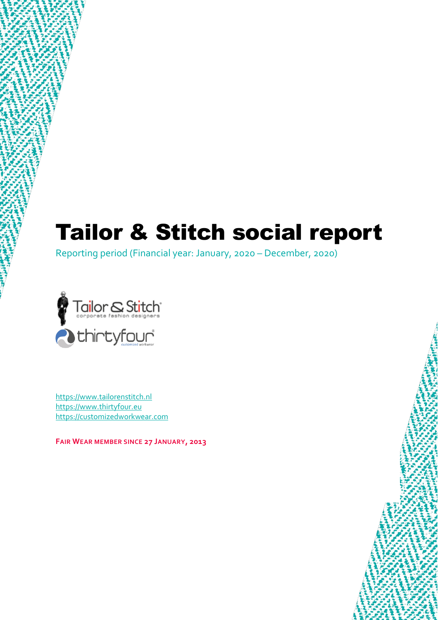# Tailor & Stitch social report

Reporting period (Financial year: January, 2020 – December, 2020)



[https://www.tailorenstitch.nl](https://www.tailorenstitch.nl/) [https://www.thirtyfour.eu](https://www.thirtyfour.eu/) [https://customizedworkwear.com](https://customizedworkwear.com/)

**FAIR WEAR MEMBER SINCE 27 JANUARY, 2013**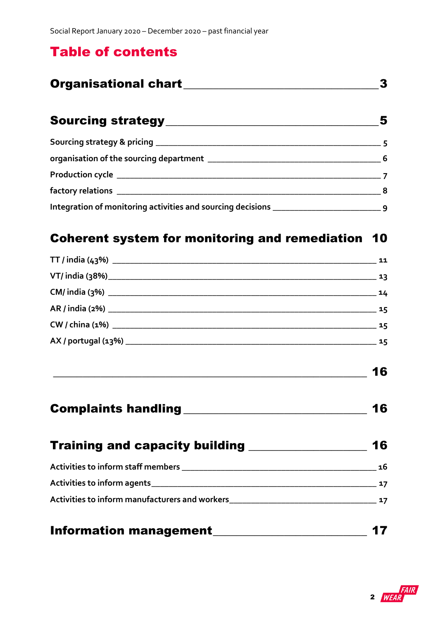## Table of contents

| <b>Organisational chart</b> |  |
|-----------------------------|--|
|                             |  |

| 5              |
|----------------|
|                |
| - 6            |
|                |
| 8 <sup>8</sup> |
|                |

## [Coherent system for monitoring and remediation](#page-9-0) 10

| Information management_____________                  |    |
|------------------------------------------------------|----|
| Activities to inform manufacturers and workers<br>17 |    |
|                                                      |    |
|                                                      |    |
| Training and capacity building ________________      | 16 |
|                                                      | 16 |
|                                                      | 16 |
|                                                      |    |
|                                                      |    |
|                                                      |    |
|                                                      |    |
|                                                      |    |
|                                                      |    |

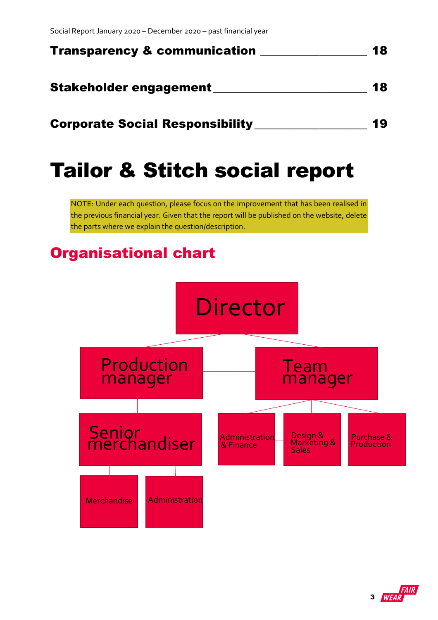| <b>Transparency &amp; communication</b> | 18 |
|-----------------------------------------|----|
| Stakeholder engagement                  | 18 |
| <b>Corporate Social Responsibility</b>  | 19 |

# Tailor & Stitch social report

NOTE: Under each question, please focus on the improvement that has been realised in the previous financial year. Given that the report will be published on the website, delete the parts where we explain the question/description.

## <span id="page-2-0"></span>Organisational chart



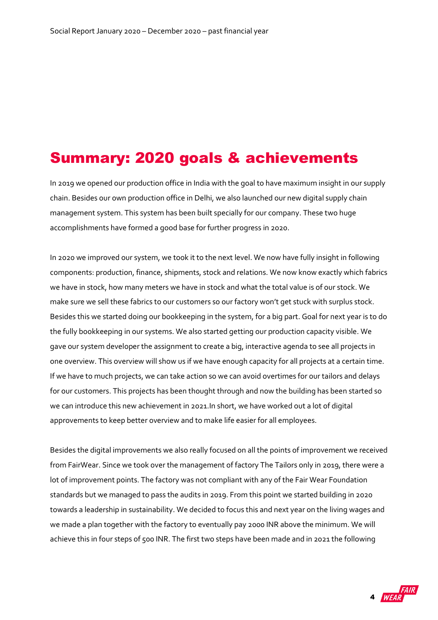## Summary: 2020 goals & achievements

In 2019 we opened our production office in India with the goal to have maximum insight in our supply chain. Besides our own production office in Delhi, we also launched our new digital supply chain management system. This system has been built specially for our company. These two huge accomplishments have formed a good base for further progress in 2020.

In 2020 we improved our system, we took it to the next level. We now have fully insight in following components: production, finance, shipments, stock and relations. We now know exactly which fabrics we have in stock, how many meters we have in stock and what the total value is of our stock. We make sure we sell these fabrics to our customers so our factory won't get stuck with surplus stock. Besides this we started doing our bookkeeping in the system, for a big part. Goal for next year is to do the fully bookkeeping in our systems. We also started getting our production capacity visible. We gave our system developer the assignment to create a big, interactive agenda to see all projects in one overview. This overview will show us if we have enough capacity for all projects at a certain time. If we have to much projects, we can take action so we can avoid overtimes for our tailors and delays for our customers. This projects has been thought through and now the building has been started so we can introduce this new achievement in 2021.In short, we have worked out a lot of digital approvements to keep better overview and to make life easier for all employees.

Besides the digital improvements we also really focused on all the points of improvement we received from FairWear. Since we took over the management of factory The Tailors only in 2019, there were a lot of improvement points. The factory was not compliant with any of the Fair Wear Foundation standards but we managed to pass the audits in 2019. From this point we started building in 2020 towards a leadership in sustainability. We decided to focus this and next year on the living wages and we made a plan together with the factory to eventually pay 2000 INR above the minimum. We will achieve this in four steps of 500 INR. The first two steps have been made and in 2021 the following

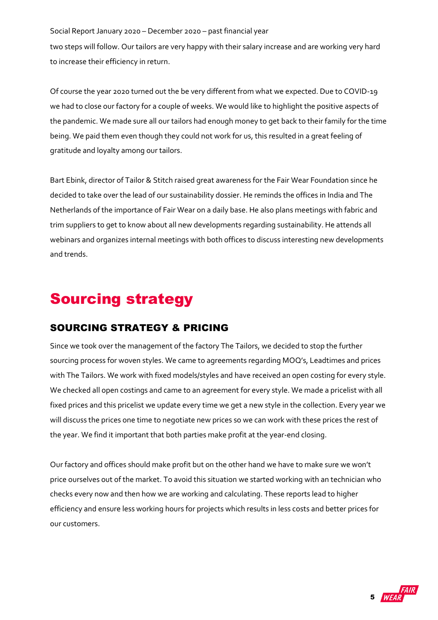two steps will follow. Our tailors are very happy with their salary increase and are working very hard to increase their efficiency in return.

Of course the year 2020 turned out the be very different from what we expected. Due to COVID-19 we had to close our factory for a couple of weeks. We would like to highlight the positive aspects of the pandemic. We made sure all our tailors had enough money to get back to their family for the time being. We paid them even though they could not work for us, this resulted in a great feeling of gratitude and loyalty among our tailors.

Bart Ebink, director of Tailor & Stitch raised great awareness for the Fair Wear Foundation since he decided to take over the lead of our sustainability dossier. He reminds the offices in India and The Netherlands of the importance of Fair Wear on a daily base. He also plans meetings with fabric and trim suppliers to get to know about all new developments regarding sustainability. He attends all webinars and organizes internal meetings with both offices to discuss interesting new developments and trends.

## <span id="page-4-0"></span>Sourcing strategy

### <span id="page-4-1"></span>SOURCING STRATEGY & PRICING

Since we took over the management of the factory The Tailors, we decided to stop the further sourcing process for woven styles. We came to agreements regarding MOQ's, Leadtimes and prices with The Tailors. We work with fixed models/styles and have received an open costing for every style. We checked all open costings and came to an agreement for every style. We made a pricelist with all fixed prices and this pricelist we update every time we get a new style in the collection. Every year we will discuss the prices one time to negotiate new prices so we can work with these prices the rest of the year. We find it important that both parties make profit at the year-end closing.

Our factory and offices should make profit but on the other hand we have to make sure we won't price ourselves out of the market. To avoid this situation we started working with an technician who checks every now and then how we are working and calculating. These reports lead to higher efficiency and ensure less working hours for projects which results in less costs and better prices for our customers.

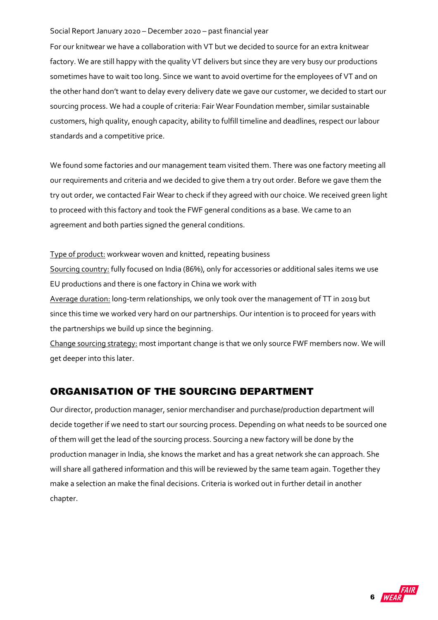For our knitwear we have a collaboration with VT but we decided to source for an extra knitwear factory. We are still happy with the quality VT delivers but since they are very busy our productions sometimes have to wait too long. Since we want to avoid overtime for the employees of VT and on the other hand don't want to delay every delivery date we gave our customer, we decided to start our sourcing process. We had a couple of criteria: Fair Wear Foundation member, similar sustainable customers, high quality, enough capacity, ability to fulfill timeline and deadlines, respect our labour standards and a competitive price.

We found some factories and our management team visited them. There was one factory meeting all our requirements and criteria and we decided to give them a try out order. Before we gave them the try out order, we contacted Fair Wear to check if they agreed with our choice. We received green light to proceed with this factory and took the FWF general conditions as a base. We came to an agreement and both parties signed the general conditions.

Type of product: workwear woven and knitted, repeating business Sourcing country: fully focused on India (86%), only for accessories or additional sales items we use EU productions and there is one factory in China we work with Average duration: long-term relationships, we only took over the management of TT in 2019 but since this time we worked very hard on our partnerships. Our intention is to proceed for years with the partnerships we build up since the beginning.

Change sourcing strategy: most important change is that we only source FWF members now. We will get deeper into this later.

### <span id="page-5-0"></span>ORGANISATION OF THE SOURCING DEPARTMENT

Our director, production manager, senior merchandiser and purchase/production department will decide together if we need to start our sourcing process. Depending on what needs to be sourced one of them will get the lead of the sourcing process. Sourcing a new factory will be done by the production manager in India, she knows the market and has a great network she can approach. She will share all gathered information and this will be reviewed by the same team again. Together they make a selection an make the final decisions. Criteria is worked out in further detail in another chapter.

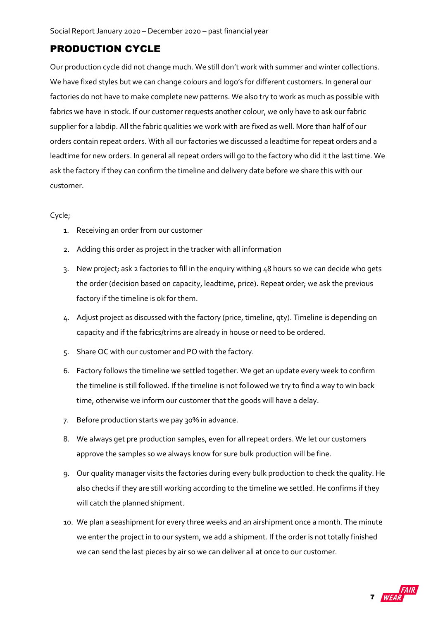### <span id="page-6-0"></span>PRODUCTION CYCLE

Our production cycle did not change much. We still don't work with summer and winter collections. We have fixed styles but we can change colours and logo's for different customers. In general our factories do not have to make complete new patterns. We also try to work as much as possible with fabrics we have in stock. If our customer requests another colour, we only have to ask our fabric supplier for a labdip. All the fabric qualities we work with are fixed as well. More than half of our orders contain repeat orders. With all our factories we discussed a leadtime for repeat orders and a leadtime for new orders. In general all repeat orders will go to the factory who did it the last time. We ask the factory if they can confirm the timeline and delivery date before we share this with our customer.

#### Cycle;

- 1. Receiving an order from our customer
- 2. Adding this order as project in the tracker with all information
- 3. New project; ask 2 factories to fill in the enquiry withing 48 hours so we can decide who gets the order (decision based on capacity, leadtime, price). Repeat order; we ask the previous factory if the timeline is ok for them.
- 4. Adjust project as discussed with the factory (price, timeline, qty). Timeline is depending on capacity and if the fabrics/trims are already in house or need to be ordered.
- 5. Share OC with our customer and PO with the factory.
- 6. Factory follows the timeline we settled together. We get an update every week to confirm the timeline is still followed. If the timeline is not followed we try to find a way to win back time, otherwise we inform our customer that the goods will have a delay.
- 7. Before production starts we pay 30% in advance.
- 8. We always get pre production samples, even for all repeat orders. We let our customers approve the samples so we always know for sure bulk production will be fine.
- 9. Our quality manager visits the factories during every bulk production to check the quality. He also checks if they are still working according to the timeline we settled. He confirms if they will catch the planned shipment.
- 10. We plan a seashipment for every three weeks and an airshipment once a month. The minute we enter the project in to our system, we add a shipment. If the order is not totally finished we can send the last pieces by air so we can deliver all at once to our customer.

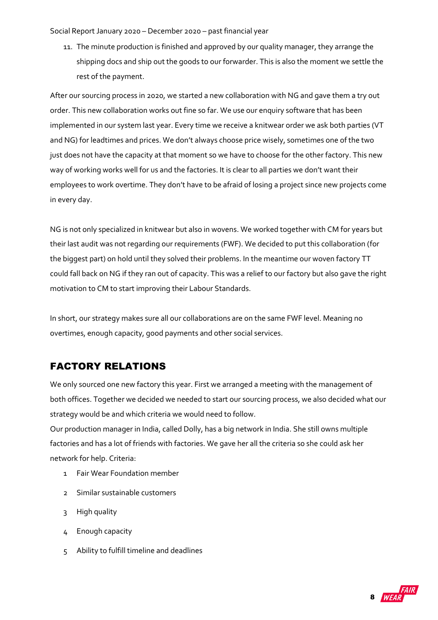11. The minute production is finished and approved by our quality manager, they arrange the shipping docs and ship out the goods to our forwarder. This is also the moment we settle the rest of the payment.

After our sourcing process in 2020, we started a new collaboration with NG and gave them a try out order. This new collaboration works out fine so far. We use our enquiry software that has been implemented in our system last year. Every time we receive a knitwear order we ask both parties (VT and NG) for leadtimes and prices. We don't always choose price wisely, sometimes one of the two just does not have the capacity at that moment so we have to choose for the other factory. This new way of working works well for us and the factories. It is clear to all parties we don't want their employees to work overtime. They don't have to be afraid of losing a project since new projects come in every day.

NG is not only specialized in knitwear but also in wovens. We worked together with CM for years but their last audit was not regarding our requirements (FWF). We decided to put this collaboration (for the biggest part) on hold until they solved their problems. In the meantime our woven factory TT could fall back on NG if they ran out of capacity. This was a relief to our factory but also gave the right motivation to CM to start improving their Labour Standards.

In short, our strategy makes sure all our collaborations are on the same FWF level. Meaning no overtimes, enough capacity, good payments and other social services.

### <span id="page-7-0"></span>FACTORY RELATIONS

We only sourced one new factory this year. First we arranged a meeting with the management of both offices. Together we decided we needed to start our sourcing process, we also decided what our strategy would be and which criteria we would need to follow.

Our production manager in India, called Dolly, has a big network in India. She still owns multiple factories and has a lot of friends with factories. We gave her all the criteria so she could ask her network for help. Criteria:

- 1 Fair Wear Foundation member
- 2 Similar sustainable customers
- 3 High quality
- 4 Enough capacity
- 5 Ability to fulfill timeline and deadlines

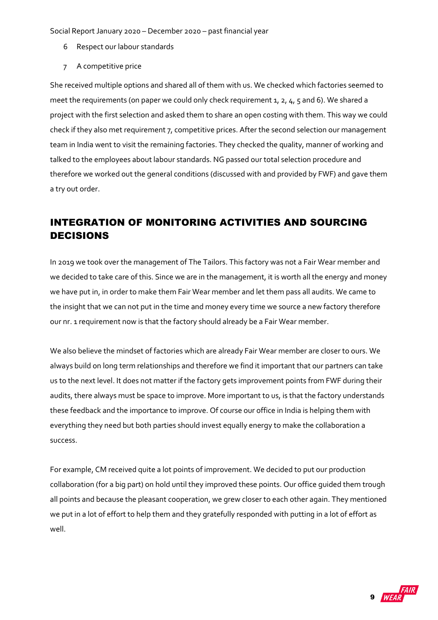- 6 Respect our labour standards
- 7 A competitive price

She received multiple options and shared all of them with us. We checked which factories seemed to meet the requirements (on paper we could only check requirement 1, 2, 4, 5 and 6). We shared a project with the first selection and asked them to share an open costing with them. This way we could check if they also met requirement 7, competitive prices. After the second selection our management team in India went to visit the remaining factories. They checked the quality, manner of working and talked to the employees about labour standards. NG passed our total selection procedure and therefore we worked out the general conditions (discussed with and provided by FWF) and gave them a try out order.

## <span id="page-8-0"></span>INTEGRATION OF MONITORING ACTIVITIES AND SOURCING DECISIONS

In 2019 we took over the management of The Tailors. This factory was not a Fair Wear member and we decided to take care of this. Since we are in the management, it is worth all the energy and money we have put in, in order to make them Fair Wear member and let them pass all audits. We came to the insight that we can not put in the time and money every time we source a new factory therefore our nr. 1 requirement now is that the factory should already be a Fair Wear member.

We also believe the mindset of factories which are already Fair Wear member are closer to ours. We always build on long term relationships and therefore we find it important that our partners can take us to the next level. It does not matter if the factory gets improvement points from FWF during their audits, there always must be space to improve. More important to us, is that the factory understands these feedback and the importance to improve. Of course our office in India is helping them with everything they need but both parties should invest equally energy to make the collaboration a success.

For example, CM received quite a lot points of improvement. We decided to put our production collaboration (for a big part) on hold until they improved these points. Our office guided them trough all points and because the pleasant cooperation, we grew closer to each other again. They mentioned we put in a lot of effort to help them and they gratefully responded with putting in a lot of effort as well.

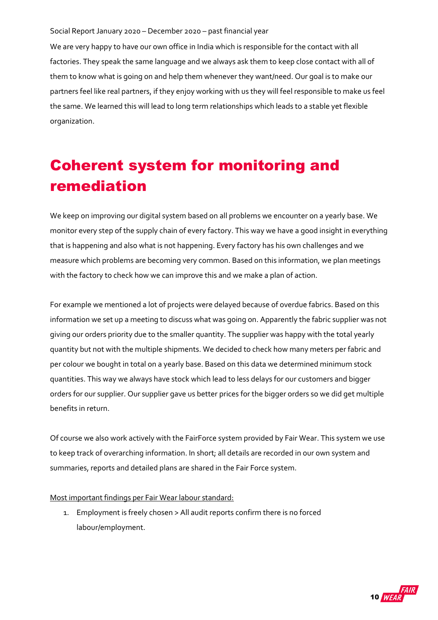We are very happy to have our own office in India which is responsible for the contact with all factories. They speak the same language and we always ask them to keep close contact with all of them to know what is going on and help them whenever they want/need. Our goal is to make our partners feel like real partners, if they enjoy working with us they will feel responsible to make us feel the same. We learned this will lead to long term relationships which leads to a stable yet flexible organization.

## <span id="page-9-0"></span>Coherent system for monitoring and remediation

We keep on improving our digital system based on all problems we encounter on a yearly base. We monitor every step of the supply chain of every factory. This way we have a good insight in everything that is happening and also what is not happening. Every factory has his own challenges and we measure which problems are becoming very common. Based on this information, we plan meetings with the factory to check how we can improve this and we make a plan of action.

For example we mentioned a lot of projects were delayed because of overdue fabrics. Based on this information we set up a meeting to discuss what was going on. Apparently the fabric supplier was not giving our orders priority due to the smaller quantity. The supplier was happy with the total yearly quantity but not with the multiple shipments. We decided to check how many meters per fabric and per colour we bought in total on a yearly base. Based on this data we determined minimum stock quantities. This way we always have stock which lead to less delays for our customers and bigger orders for our supplier. Our supplier gave us better prices for the bigger orders so we did get multiple benefits in return.

Of course we also work actively with the FairForce system provided by Fair Wear. This system we use to keep track of overarching information. In short; all details are recorded in our own system and summaries, reports and detailed plans are shared in the Fair Force system.

#### Most important findings per Fair Wear labour standard:

1. Employment is freely chosen > All audit reports confirm there is no forced labour/employment.

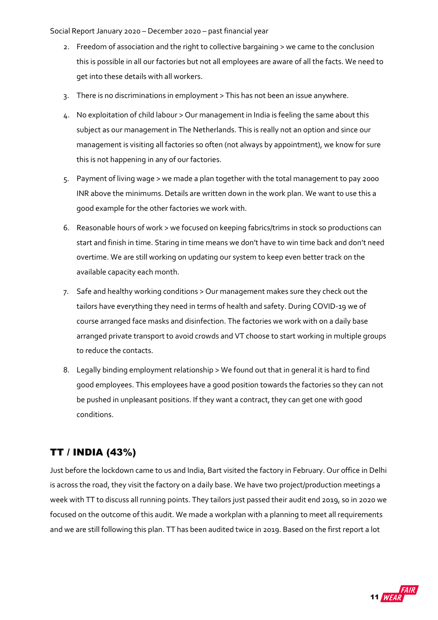- 2. Freedom of association and the right to collective bargaining > we came to the conclusion this is possible in all our factories but not all employees are aware of all the facts. We need to get into these details with all workers.
- 3. There is no discriminations in employment > This has not been an issue anywhere.
- 4. No exploitation of child labour > Our management in India is feeling the same about this subject as our management in The Netherlands. This is really not an option and since our management is visiting all factories so often (not always by appointment), we know for sure this is not happening in any of our factories.
- 5. Payment of living wage > we made a plan together with the total management to pay 2000 INR above the minimums. Details are written down in the work plan. We want to use this a good example for the other factories we work with.
- 6. Reasonable hours of work > we focused on keeping fabrics/trims in stock so productions can start and finish in time. Staring in time means we don't have to win time back and don't need overtime. We are still working on updating our system to keep even better track on the available capacity each month.
- 7. Safe and healthy working conditions > Our management makes sure they check out the tailors have everything they need in terms of health and safety. During COVID-19 we of course arranged face masks and disinfection. The factories we work with on a daily base arranged private transport to avoid crowds and VT choose to start working in multiple groups to reduce the contacts.
- 8. Legally binding employment relationship > We found out that in general it is hard to find good employees. This employees have a good position towards the factories so they can not be pushed in unpleasant positions. If they want a contract, they can get one with good conditions.

### <span id="page-10-0"></span>TT / INDIA (43%)

Just before the lockdown came to us and India, Bart visited the factory in February. Our office in Delhi is across the road, they visit the factory on a daily base. We have two project/production meetings a week with TT to discuss all running points. They tailors just passed their audit end 2019, so in 2020 we focused on the outcome of this audit. We made a workplan with a planning to meet all requirements and we are still following this plan. TT has been audited twice in 2019. Based on the first report a lot

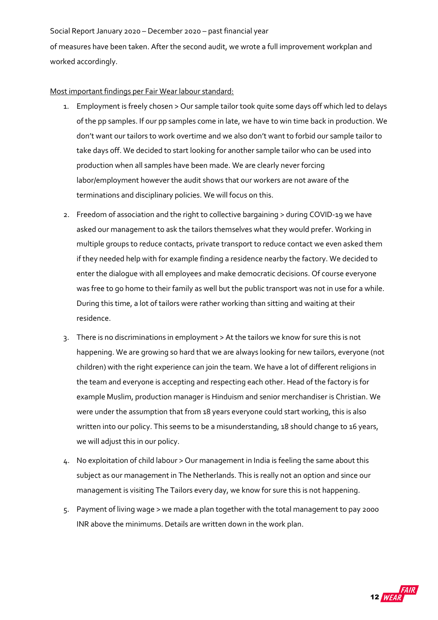of measures have been taken. After the second audit, we wrote a full improvement workplan and worked accordingly.

#### Most important findings per Fair Wear labour standard:

- 1. Employment is freely chosen > Our sample tailor took quite some days off which led to delays of the pp samples. If our pp samples come in late, we have to win time back in production. We don't want our tailors to work overtime and we also don't want to forbid our sample tailor to take days off. We decided to start looking for another sample tailor who can be used into production when all samples have been made. We are clearly never forcing labor/employment however the audit shows that our workers are not aware of the terminations and disciplinary policies. We will focus on this.
- 2. Freedom of association and the right to collective bargaining > during COVID-19 we have asked our management to ask the tailors themselves what they would prefer. Working in multiple groups to reduce contacts, private transport to reduce contact we even asked them if they needed help with for example finding a residence nearby the factory. We decided to enter the dialogue with all employees and make democratic decisions. Of course everyone was free to go home to their family as well but the public transport was not in use for a while. During this time, a lot of tailors were rather working than sitting and waiting at their residence.
- 3. There is no discriminations in employment > At the tailors we know for sure this is not happening. We are growing so hard that we are always looking for new tailors, everyone (not children) with the right experience can join the team. We have a lot of different religions in the team and everyone is accepting and respecting each other. Head of the factory is for example Muslim, production manager is Hinduism and senior merchandiser is Christian. We were under the assumption that from 18 years everyone could start working, this is also written into our policy. This seems to be a misunderstanding, 18 should change to 16 years, we will adjust this in our policy.
- 4. No exploitation of child labour > Our management in India is feeling the same about this subject as our management in The Netherlands. This is really not an option and since our management is visiting The Tailors every day, we know for sure this is not happening.
- 5. Payment of living wage > we made a plan together with the total management to pay 2000 INR above the minimums. Details are written down in the work plan.

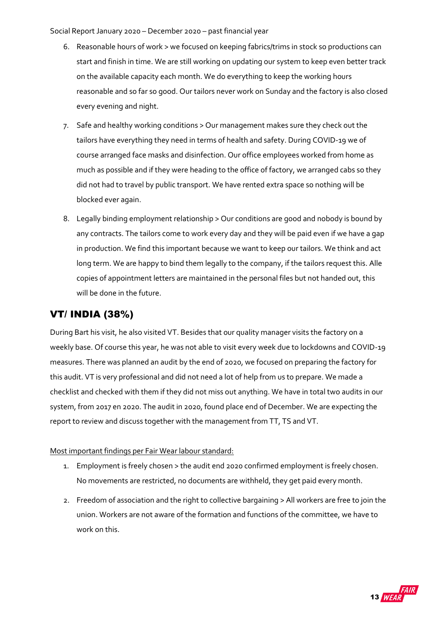- 6. Reasonable hours of work > we focused on keeping fabrics/trims in stock so productions can start and finish in time. We are still working on updating our system to keep even better track on the available capacity each month. We do everything to keep the working hours reasonable and so far so good. Our tailors never work on Sunday and the factory is also closed every evening and night.
- 7. Safe and healthy working conditions > Our management makes sure they check out the tailors have everything they need in terms of health and safety. During COVID-19 we of course arranged face masks and disinfection. Our office employees worked from home as much as possible and if they were heading to the office of factory, we arranged cabs so they did not had to travel by public transport. We have rented extra space so nothing will be blocked ever again.
- 8. Legally binding employment relationship > Our conditions are good and nobody is bound by any contracts. The tailors come to work every day and they will be paid even if we have a gap in production. We find this important because we want to keep our tailors. We think and act long term. We are happy to bind them legally to the company, if the tailors request this. Alle copies of appointment letters are maintained in the personal files but not handed out, this will be done in the future.

### <span id="page-12-0"></span>VT/ INDIA (38%)

During Bart his visit, he also visited VT. Besides that our quality manager visits the factory on a weekly base. Of course this year, he was not able to visit every week due to lockdowns and COVID-19 measures. There was planned an audit by the end of 2020, we focused on preparing the factory for this audit. VT is very professional and did not need a lot of help from us to prepare. We made a checklist and checked with them if they did not miss out anything. We have in total two audits in our system, from 2017 en 2020. The audit in 2020, found place end of December. We are expecting the report to review and discuss together with the management from TT, TS and VT.

Most important findings per Fair Wear labour standard:

- 1. Employment is freely chosen > the audit end 2020 confirmed employment is freely chosen. No movements are restricted, no documents are withheld, they get paid every month.
- 2. Freedom of association and the right to collective bargaining > All workers are free to join the union. Workers are not aware of the formation and functions of the committee, we have to work on this.

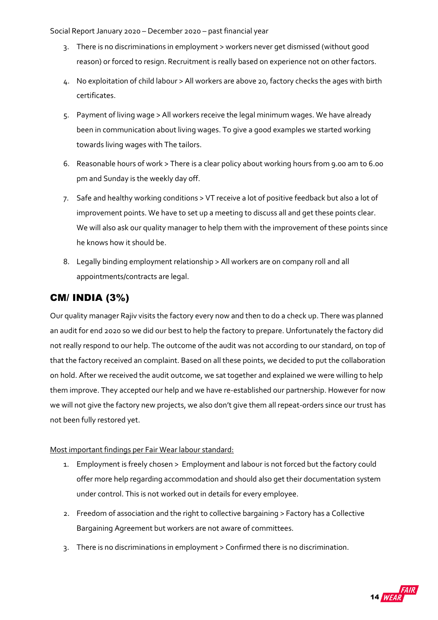- 3. There is no discriminations in employment > workers never get dismissed (without good reason) or forced to resign. Recruitment is really based on experience not on other factors.
- 4. No exploitation of child labour > All workers are above 20, factory checks the ages with birth certificates.
- 5. Payment of living wage > All workers receive the legal minimum wages. We have already been in communication about living wages. To give a good examples we started working towards living wages with The tailors.
- 6. Reasonable hours of work > There is a clear policy about working hours from 9.00 am to 6.00 pm and Sunday is the weekly day off.
- 7. Safe and healthy working conditions > VT receive a lot of positive feedback but also a lot of improvement points. We have to set up a meeting to discuss all and get these points clear. We will also ask our quality manager to help them with the improvement of these points since he knows how it should be.
- 8. Legally binding employment relationship > All workers are on company roll and all appointments/contracts are legal.

### <span id="page-13-0"></span>CM/ INDIA (3%)

Our quality manager Rajiv visits the factory every now and then to do a check up. There was planned an audit for end 2020 so we did our best to help the factory to prepare. Unfortunately the factory did not really respond to our help. The outcome of the audit was not according to our standard, on top of that the factory received an complaint. Based on all these points, we decided to put the collaboration on hold. After we received the audit outcome, we sat together and explained we were willing to help them improve. They accepted our help and we have re-established our partnership. However for now we will not give the factory new projects, we also don't give them all repeat-orders since our trust has not been fully restored yet.

#### Most important findings per Fair Wear labour standard:

- 1. Employment is freely chosen > Employment and labour is not forced but the factory could offer more help regarding accommodation and should also get their documentation system under control. This is not worked out in details for every employee.
- 2. Freedom of association and the right to collective bargaining > Factory has a Collective Bargaining Agreement but workers are not aware of committees.
- 3. There is no discriminations in employment > Confirmed there is no discrimination.

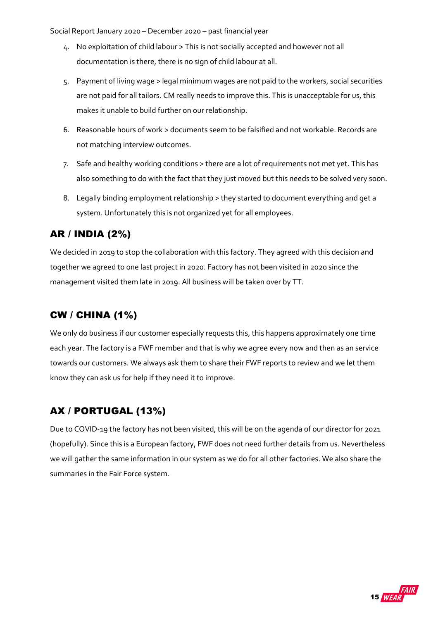- 4. No exploitation of child labour > This is not socially accepted and however not all documentation is there, there is no sign of child labour at all.
- 5. Payment of living wage > legal minimum wages are not paid to the workers, social securities are not paid for all tailors. CM really needs to improve this. This is unacceptable for us, this makes it unable to build further on our relationship.
- 6. Reasonable hours of work > documents seem to be falsified and not workable. Records are not matching interview outcomes.
- 7. Safe and healthy working conditions > there are a lot of requirements not met yet. This has also something to do with the fact that they just moved but this needs to be solved very soon.
- 8. Legally binding employment relationship > they started to document everything and get a system. Unfortunately this is not organized yet for all employees.

## <span id="page-14-0"></span>AR / INDIA (2%)

We decided in 2019 to stop the collaboration with this factory. They agreed with this decision and together we agreed to one last project in 2020. Factory has not been visited in 2020 since the management visited them late in 2019. All business will be taken over by TT.

### <span id="page-14-1"></span>CW / CHINA (1%)

We only do business if our customer especially requests this, this happens approximately one time each year. The factory is a FWF member and that is why we agree every now and then as an service towards our customers. We always ask them to share their FWF reports to review and we let them know they can ask us for help if they need it to improve.

### <span id="page-14-2"></span>AX / PORTUGAL (13%)

Due to COVID-19 the factory has not been visited, this will be on the agenda of our director for 2021 (hopefully). Since this is a European factory, FWF does not need further details from us. Nevertheless we will gather the same information in our system as we do for all other factories. We also share the summaries in the Fair Force system.

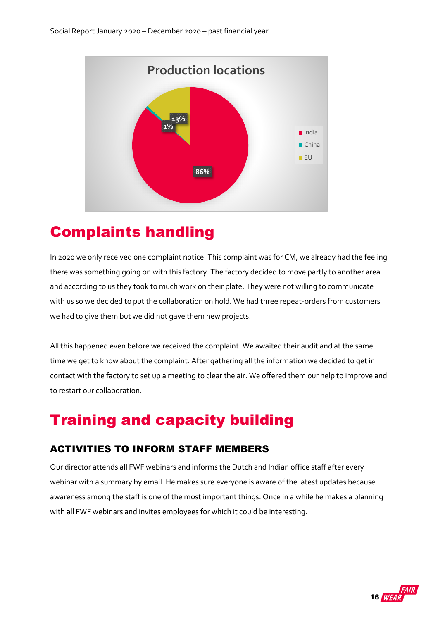<span id="page-15-0"></span>

## <span id="page-15-1"></span>Complaints handling

In 2020 we only received one complaint notice. This complaint was for CM, we already had the feeling there was something going on with this factory. The factory decided to move partly to another area and according to us they took to much work on their plate. They were not willing to communicate with us so we decided to put the collaboration on hold. We had three repeat-orders from customers we had to give them but we did not gave them new projects.

All this happened even before we received the complaint. We awaited their audit and at the same time we get to know about the complaint. After gathering all the information we decided to get in contact with the factory to set up a meeting to clear the air. We offered them our help to improve and to restart our collaboration.

## <span id="page-15-2"></span>Training and capacity building

### <span id="page-15-3"></span>ACTIVITIES TO INFORM STAFF MEMBERS

Our director attends all FWF webinars and informs the Dutch and Indian office staff after every webinar with a summary by email. He makes sure everyone is aware of the latest updates because awareness among the staff is one of the most important things. Once in a while he makes a planning with all FWF webinars and invites employees for which it could be interesting.

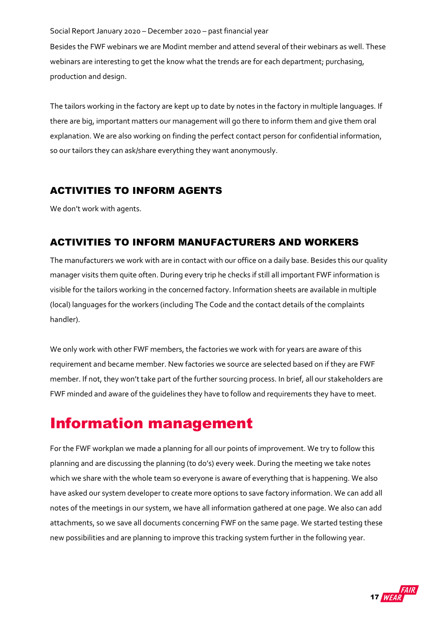Besides the FWF webinars we are Modint member and attend several of their webinars as well. These webinars are interesting to get the know what the trends are for each department; purchasing, production and design.

The tailors working in the factory are kept up to date by notes in the factory in multiple languages. If there are big, important matters our management will go there to inform them and give them oral explanation. We are also working on finding the perfect contact person for confidential information, so our tailors they can ask/share everything they want anonymously.

### <span id="page-16-0"></span>ACTIVITIES TO INFORM AGENTS

We don't work with agents.

### <span id="page-16-1"></span>ACTIVITIES TO INFORM MANUFACTURERS AND WORKERS

The manufacturers we work with are in contact with our office on a daily base. Besides this our quality manager visits them quite often. During every trip he checks if still all important FWF information is visible for the tailors working in the concerned factory. Information sheets are available in multiple (local) languages for the workers (including The Code and the contact details of the complaints handler).

We only work with other FWF members, the factories we work with for years are aware of this requirement and became member. New factories we source are selected based on if they are FWF member. If not, they won't take part of the further sourcing process. In brief, all our stakeholders are FWF minded and aware of the guidelines they have to follow and requirements they have to meet.

## <span id="page-16-2"></span>Information management

For the FWF workplan we made a planning for all our points of improvement. We try to follow this planning and are discussing the planning (to do's) every week. During the meeting we take notes which we share with the whole team so everyone is aware of everything that is happening. We also have asked our system developer to create more options to save factory information. We can add all notes of the meetings in our system, we have all information gathered at one page. We also can add attachments, so we save all documents concerning FWF on the same page. We started testing these new possibilities and are planning to improve this tracking system further in the following year.

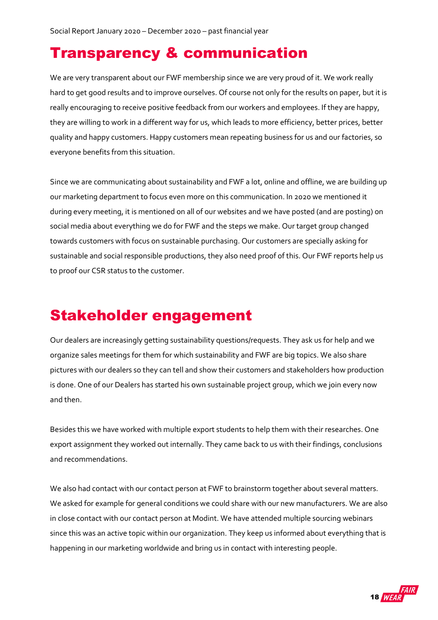## <span id="page-17-0"></span>Transparency & communication

We are very transparent about our FWF membership since we are very proud of it. We work really hard to get good results and to improve ourselves. Of course not only for the results on paper, but it is really encouraging to receive positive feedback from our workers and employees. If they are happy, they are willing to work in a different way for us, which leads to more efficiency, better prices, better quality and happy customers. Happy customers mean repeating business for us and our factories, so everyone benefits from this situation.

Since we are communicating about sustainability and FWF a lot, online and offline, we are building up our marketing department to focus even more on this communication. In 2020 we mentioned it during every meeting, it is mentioned on all of our websites and we have posted (and are posting) on social media about everything we do for FWF and the steps we make. Our target group changed towards customers with focus on sustainable purchasing. Our customers are specially asking for sustainable and social responsible productions, they also need proof of this. Our FWF reports help us to proof our CSR status to the customer.

## <span id="page-17-1"></span>Stakeholder engagement

Our dealers are increasingly getting sustainability questions/requests. They ask us for help and we organize sales meetings for them for which sustainability and FWF are big topics. We also share pictures with our dealers so they can tell and show their customers and stakeholders how production is done. One of our Dealers has started his own sustainable project group, which we join every now and then.

Besides this we have worked with multiple export students to help them with their researches. One export assignment they worked out internally. They came back to us with their findings, conclusions and recommendations.

We also had contact with our contact person at FWF to brainstorm together about several matters. We asked for example for general conditions we could share with our new manufacturers. We are also in close contact with our contact person at Modint. We have attended multiple sourcing webinars since this was an active topic within our organization. They keep us informed about everything that is happening in our marketing worldwide and bring us in contact with interesting people.